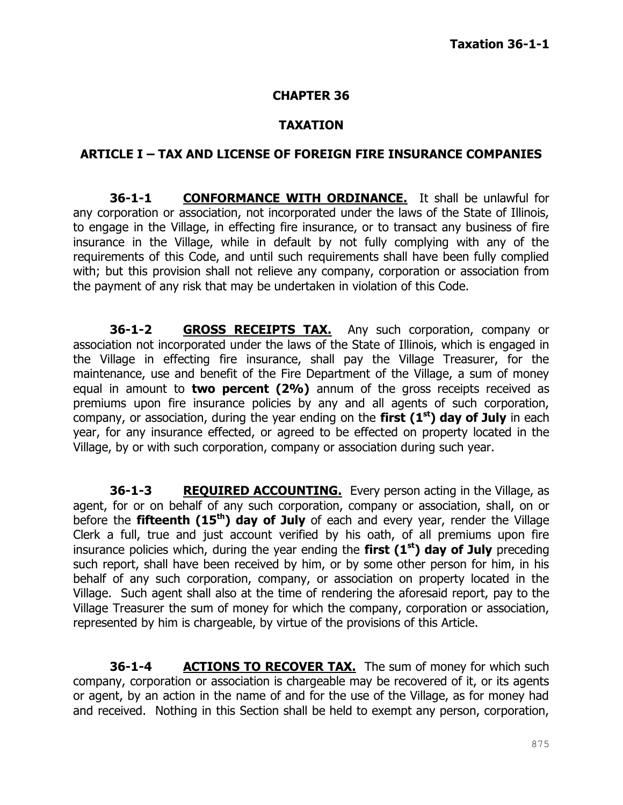#### **CHAPTER 36**

#### **TAXATION**

#### **ARTICLE I – TAX AND LICENSE OF FOREIGN FIRE INSURANCE COMPANIES**

**36-1-1 CONFORMANCE WITH ORDINANCE.** It shall be unlawful for any corporation or association, not incorporated under the laws of the State of Illinois, to engage in the Village, in effecting fire insurance, or to transact any business of fire insurance in the Village, while in default by not fully complying with any of the requirements of this Code, and until such requirements shall have been fully complied with; but this provision shall not relieve any company, corporation or association from the payment of any risk that may be undertaken in violation of this Code.

**36-1-2 GROSS RECEIPTS TAX.** Any such corporation, company or association not incorporated under the laws of the State of Illinois, which is engaged in the Village in effecting fire insurance, shall pay the Village Treasurer, for the maintenance, use and benefit of the Fire Department of the Village, a sum of money equal in amount to **two percent (2%)** annum of the gross receipts received as premiums upon fire insurance policies by any and all agents of such corporation, company, or association, during the year ending on the **first (1st) day of July** in each year, for any insurance effected, or agreed to be effected on property located in the Village, by or with such corporation, company or association during such year.

**36-1-3 REQUIRED ACCOUNTING.** Every person acting in the Village, as agent, for or on behalf of any such corporation, company or association, shall, on or before the **fifteenth (15th) day of July** of each and every year, render the Village Clerk a full, true and just account verified by his oath, of all premiums upon fire insurance policies which, during the year ending the **first (1st) day of July** preceding such report, shall have been received by him, or by some other person for him, in his behalf of any such corporation, company, or association on property located in the Village. Such agent shall also at the time of rendering the aforesaid report, pay to the Village Treasurer the sum of money for which the company, corporation or association, represented by him is chargeable, by virtue of the provisions of this Article.

**36-1-4 ACTIONS TO RECOVER TAX.** The sum of money for which such company, corporation or association is chargeable may be recovered of it, or its agents or agent, by an action in the name of and for the use of the Village, as for money had and received. Nothing in this Section shall be held to exempt any person, corporation,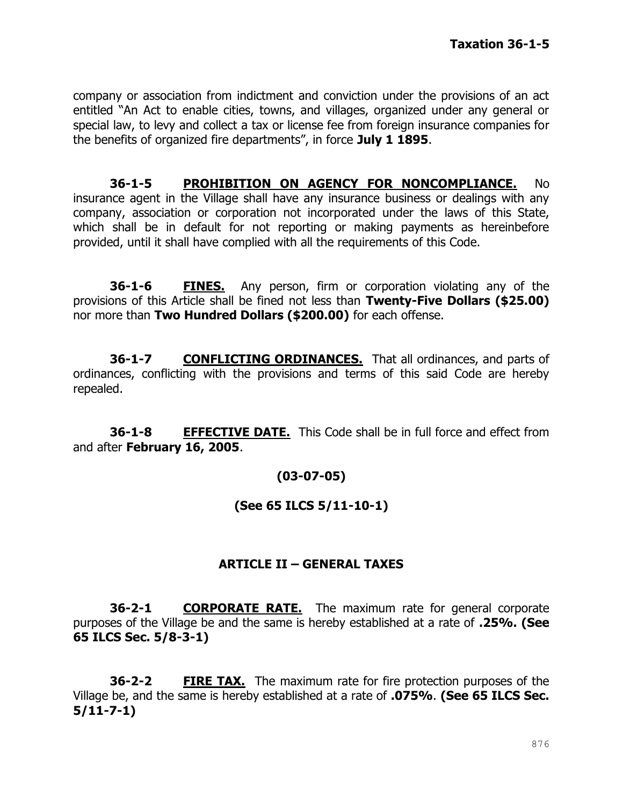company or association from indictment and conviction under the provisions of an act entitled "An Act to enable cities, towns, and villages, organized under any general or special law, to levy and collect a tax or license fee from foreign insurance companies for the benefits of organized fire departments", in force **July 1 1895**.

**36-1-5 PROHIBITION ON AGENCY FOR NONCOMPLIANCE.** No insurance agent in the Village shall have any insurance business or dealings with any company, association or corporation not incorporated under the laws of this State, which shall be in default for not reporting or making payments as hereinbefore provided, until it shall have complied with all the requirements of this Code.

**36-1-6 FINES.** Any person, firm or corporation violating any of the provisions of this Article shall be fined not less than **Twenty-Five Dollars (\$25.00)** nor more than **Two Hundred Dollars (\$200.00)** for each offense.

**36-1-7 CONFLICTING ORDINANCES.** That all ordinances, and parts of ordinances, conflicting with the provisions and terms of this said Code are hereby repealed.

**36-1-8 EFFECTIVE DATE.** This Code shall be in full force and effect from and after **February 16, 2005**.

# **(03-07-05)**

### **(See 65 ILCS 5/11-10-1)**

### **ARTICLE II – GENERAL TAXES**

**36-2-1 CORPORATE RATE.** The maximum rate for general corporate purposes of the Village be and the same is hereby established at a rate of **.25%. (See 65 ILCS Sec. 5/8-3-1)**

**36-2-2 FIRE TAX.** The maximum rate for fire protection purposes of the Village be, and the same is hereby established at a rate of **.075%**. **(See 65 ILCS Sec. 5/11-7-1)**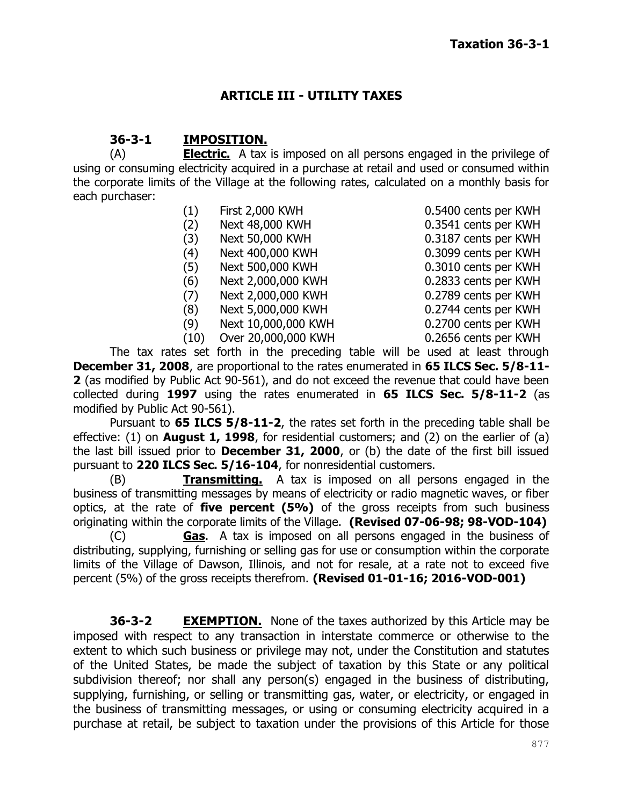### **ARTICLE III - UTILITY TAXES**

### **36-3-1 IMPOSITION.**

(A) **Electric.** A tax is imposed on all persons engaged in the privilege of using or consuming electricity acquired in a purchase at retail and used or consumed within the corporate limits of the Village at the following rates, calculated on a monthly basis for each purchaser:

| (1)   | <b>First 2,000 KWH</b> |
|-------|------------------------|
| (2)   | Next 48,000 KWH        |
| (3)   | Next 50,000 KWH        |
| (4)   | Next 400,000 KWH       |
| (5)   | Next 500,000 KWH       |
| (6)   | Next 2,000,000 KWH     |
| (7)   | Next 2,000,000 KWH     |
| (8)   | Next 5,000,000 KWH     |
| (9)   | Next 10,000,000 KWH    |
| (10)  | Over 20,000,000 KWH    |
| , cat | forth in the preceding |

0.5400 cents per KWH 0.3541 cents per KWH 0.3187 cents per KWH 0.3099 cents per KWH 0.3010 cents per KWH 0.2833 cents per KWH 0.2789 cents per KWH 0.2744 cents per KWH 0.2700 cents per KWH 0.2656 cents per KWH

The tax rates set forth in the preceding table will be used at least through **December 31, 2008**, are proportional to the rates enumerated in **65 ILCS Sec. 5/8-11- 2** (as modified by Public Act 90-561), and do not exceed the revenue that could have been collected during **1997** using the rates enumerated in **65 ILCS Sec. 5/8-11-2** (as modified by Public Act 90-561).

Pursuant to **65 ILCS 5/8-11-2**, the rates set forth in the preceding table shall be effective: (1) on **August 1, 1998**, for residential customers; and (2) on the earlier of (a) the last bill issued prior to **December 31, 2000**, or (b) the date of the first bill issued pursuant to **220 ILCS Sec. 5/16-104**, for nonresidential customers.

(B) **Transmitting.** A tax is imposed on all persons engaged in the business of transmitting messages by means of electricity or radio magnetic waves, or fiber optics, at the rate of **five percent (5%)** of the gross receipts from such business originating within the corporate limits of the Village. **(Revised 07-06-98; 98-VOD-104)**

(C) **Gas**. A tax is imposed on all persons engaged in the business of distributing, supplying, furnishing or selling gas for use or consumption within the corporate limits of the Village of Dawson, Illinois, and not for resale, at a rate not to exceed five percent (5%) of the gross receipts therefrom. **(Revised 01-01-16; 2016-VOD-001)**

**36-3-2 EXEMPTION.** None of the taxes authorized by this Article may be imposed with respect to any transaction in interstate commerce or otherwise to the extent to which such business or privilege may not, under the Constitution and statutes of the United States, be made the subject of taxation by this State or any political subdivision thereof; nor shall any person(s) engaged in the business of distributing, supplying, furnishing, or selling or transmitting gas, water, or electricity, or engaged in the business of transmitting messages, or using or consuming electricity acquired in a purchase at retail, be subject to taxation under the provisions of this Article for those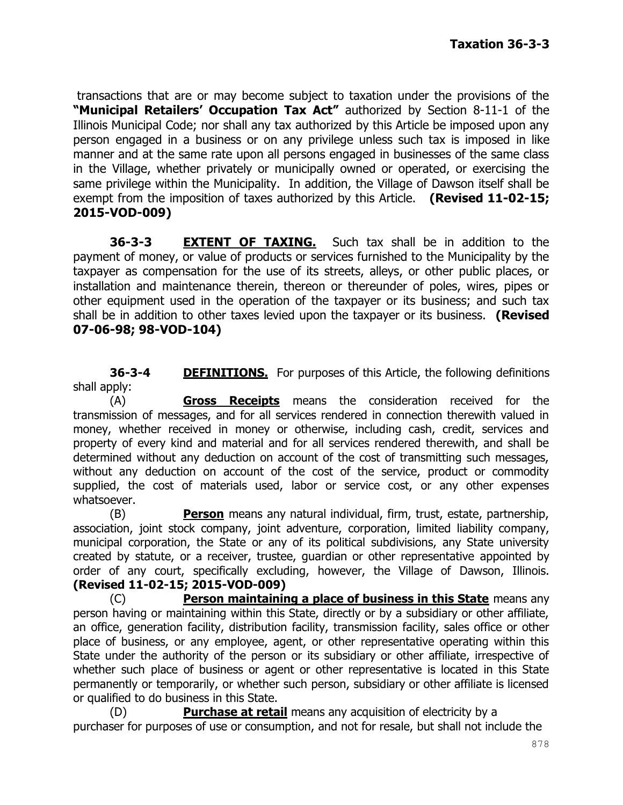transactions that are or may become subject to taxation under the provisions of the **"Municipal Retailers' Occupation Tax Act"** authorized by Section 8-11-1 of the Illinois Municipal Code; nor shall any tax authorized by this Article be imposed upon any person engaged in a business or on any privilege unless such tax is imposed in like manner and at the same rate upon all persons engaged in businesses of the same class in the Village, whether privately or municipally owned or operated, or exercising the same privilege within the Municipality. In addition, the Village of Dawson itself shall be exempt from the imposition of taxes authorized by this Article. **(Revised 11-02-15; 2015-VOD-009)**

**36-3-3 EXTENT OF TAXING.** Such tax shall be in addition to the payment of money, or value of products or services furnished to the Municipality by the taxpayer as compensation for the use of its streets, alleys, or other public places, or installation and maintenance therein, thereon or thereunder of poles, wires, pipes or other equipment used in the operation of the taxpayer or its business; and such tax shall be in addition to other taxes levied upon the taxpayer or its business. **(Revised 07-06-98; 98-VOD-104)**

**36-3-4 DEFINITIONS.** For purposes of this Article, the following definitions shall apply:

(A) **Gross Receipts** means the consideration received for the transmission of messages, and for all services rendered in connection therewith valued in money, whether received in money or otherwise, including cash, credit, services and property of every kind and material and for all services rendered therewith, and shall be determined without any deduction on account of the cost of transmitting such messages, without any deduction on account of the cost of the service, product or commodity supplied, the cost of materials used, labor or service cost, or any other expenses whatsoever.

(B) **Person** means any natural individual, firm, trust, estate, partnership, association, joint stock company, joint adventure, corporation, limited liability company, municipal corporation, the State or any of its political subdivisions, any State university created by statute, or a receiver, trustee, guardian or other representative appointed by order of any court, specifically excluding, however, the Village of Dawson, Illinois. **(Revised 11-02-15; 2015-VOD-009)**

(C) **Person maintaining a place of business in this State** means any person having or maintaining within this State, directly or by a subsidiary or other affiliate, an office, generation facility, distribution facility, transmission facility, sales office or other place of business, or any employee, agent, or other representative operating within this State under the authority of the person or its subsidiary or other affiliate, irrespective of whether such place of business or agent or other representative is located in this State permanently or temporarily, or whether such person, subsidiary or other affiliate is licensed or qualified to do business in this State.

(D) **Purchase at retail** means any acquisition of electricity by a purchaser for purposes of use or consumption, and not for resale, but shall not include the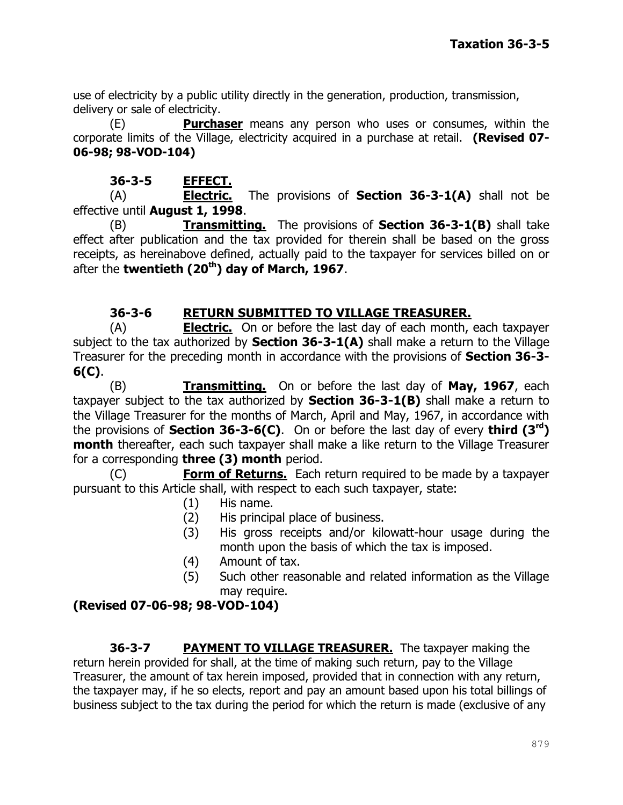use of electricity by a public utility directly in the generation, production, transmission, delivery or sale of electricity.

(E) **Purchaser** means any person who uses or consumes, within the corporate limits of the Village, electricity acquired in a purchase at retail. **(Revised 07- 06-98; 98-VOD-104)**

### **36-3-5 EFFECT.**

(A) **Electric.** The provisions of **Section 36-3-1(A)** shall not be effective until **August 1, 1998**.

(B) **Transmitting.** The provisions of **Section 36-3-1(B)** shall take effect after publication and the tax provided for therein shall be based on the gross receipts, as hereinabove defined, actually paid to the taxpayer for services billed on or after the **twentieth (20th) day of March, 1967**.

# **36-3-6 RETURN SUBMITTED TO VILLAGE TREASURER.**

(A) **Electric.** On or before the last day of each month, each taxpayer subject to the tax authorized by **Section 36-3-1(A)** shall make a return to the Village Treasurer for the preceding month in accordance with the provisions of **Section 36-3- 6(C)**.

(B) **Transmitting.** On or before the last day of **May, 1967**, each taxpayer subject to the tax authorized by **Section 36-3-1(B)** shall make a return to the Village Treasurer for the months of March, April and May, 1967, in accordance with the provisions of **Section 36-3-6(C)**. On or before the last day of every **third (3rd) month** thereafter, each such taxpayer shall make a like return to the Village Treasurer for a corresponding **three (3) month** period.

(C) **Form of Returns.** Each return required to be made by a taxpayer pursuant to this Article shall, with respect to each such taxpayer, state:

- (1) His name.
- (2) His principal place of business.
- (3) His gross receipts and/or kilowatt-hour usage during the month upon the basis of which the tax is imposed.
- (4) Amount of tax.
- (5) Such other reasonable and related information as the Village may require.

# **(Revised 07-06-98; 98-VOD-104)**

**36-3-7 PAYMENT TO VILLAGE TREASURER.** The taxpayer making the return herein provided for shall, at the time of making such return, pay to the Village Treasurer, the amount of tax herein imposed, provided that in connection with any return, the taxpayer may, if he so elects, report and pay an amount based upon his total billings of business subject to the tax during the period for which the return is made (exclusive of any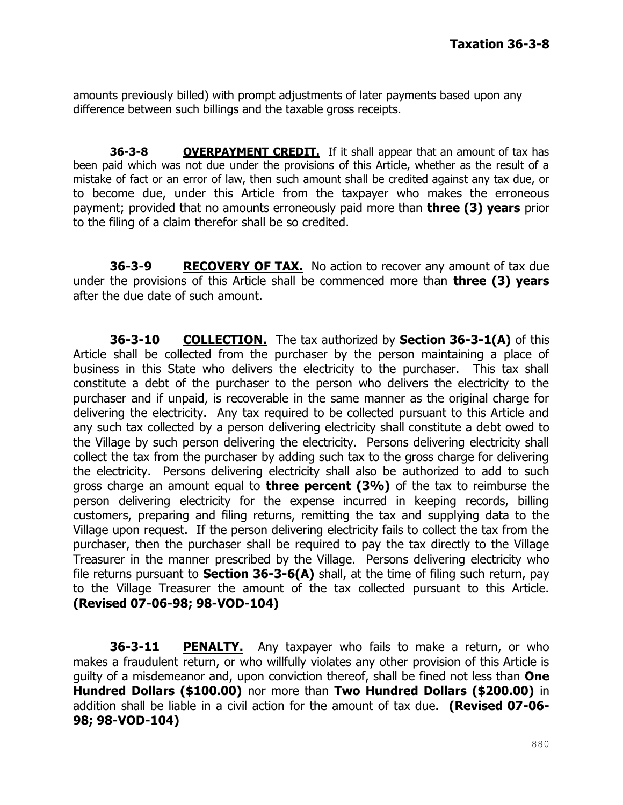amounts previously billed) with prompt adjustments of later payments based upon any difference between such billings and the taxable gross receipts.

**36-3-8 OVERPAYMENT CREDIT.** If it shall appear that an amount of tax has been paid which was not due under the provisions of this Article, whether as the result of a mistake of fact or an error of law, then such amount shall be credited against any tax due, or to become due, under this Article from the taxpayer who makes the erroneous payment; provided that no amounts erroneously paid more than **three (3) years** prior to the filing of a claim therefor shall be so credited.

**36-3-9 RECOVERY OF TAX.** No action to recover any amount of tax due under the provisions of this Article shall be commenced more than **three (3) years** after the due date of such amount.

**36-3-10 COLLECTION.** The tax authorized by **Section 36-3-1(A)** of this Article shall be collected from the purchaser by the person maintaining a place of business in this State who delivers the electricity to the purchaser. This tax shall constitute a debt of the purchaser to the person who delivers the electricity to the purchaser and if unpaid, is recoverable in the same manner as the original charge for delivering the electricity. Any tax required to be collected pursuant to this Article and any such tax collected by a person delivering electricity shall constitute a debt owed to the Village by such person delivering the electricity. Persons delivering electricity shall collect the tax from the purchaser by adding such tax to the gross charge for delivering the electricity. Persons delivering electricity shall also be authorized to add to such gross charge an amount equal to **three percent (3%)** of the tax to reimburse the person delivering electricity for the expense incurred in keeping records, billing customers, preparing and filing returns, remitting the tax and supplying data to the Village upon request. If the person delivering electricity fails to collect the tax from the purchaser, then the purchaser shall be required to pay the tax directly to the Village Treasurer in the manner prescribed by the Village. Persons delivering electricity who file returns pursuant to **Section 36-3-6(A)** shall, at the time of filing such return, pay to the Village Treasurer the amount of the tax collected pursuant to this Article. **(Revised 07-06-98; 98-VOD-104)**

**36-3-11 PENALTY.** Any taxpayer who fails to make a return, or who makes a fraudulent return, or who willfully violates any other provision of this Article is guilty of a misdemeanor and, upon conviction thereof, shall be fined not less than **One Hundred Dollars (\$100.00)** nor more than **Two Hundred Dollars (\$200.00)** in addition shall be liable in a civil action for the amount of tax due. **(Revised 07-06- 98; 98-VOD-104)**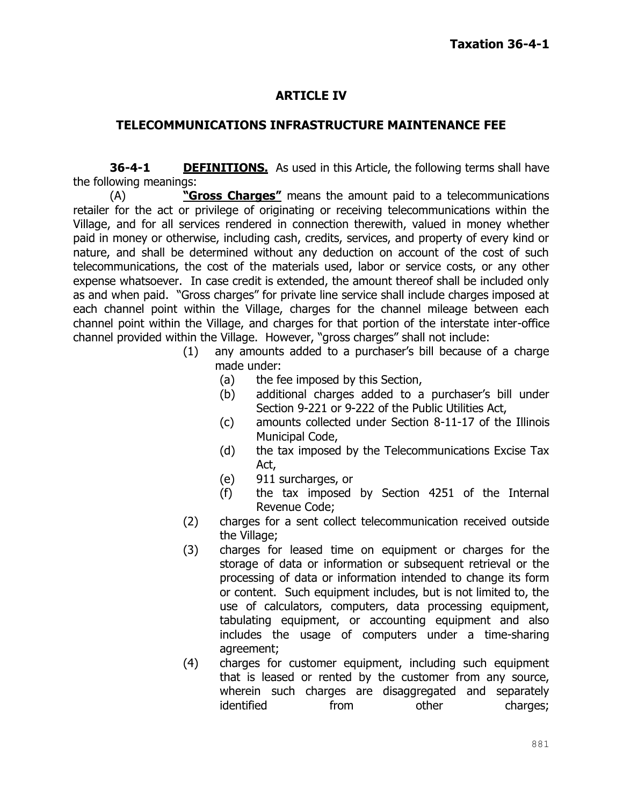### **ARTICLE IV**

### **TELECOMMUNICATIONS INFRASTRUCTURE MAINTENANCE FEE**

**36-4-1 DEFINITIONS.** As used in this Article, the following terms shall have the following meanings:

(A) **"Gross Charges"** means the amount paid to a telecommunications retailer for the act or privilege of originating or receiving telecommunications within the Village, and for all services rendered in connection therewith, valued in money whether paid in money or otherwise, including cash, credits, services, and property of every kind or nature, and shall be determined without any deduction on account of the cost of such telecommunications, the cost of the materials used, labor or service costs, or any other expense whatsoever. In case credit is extended, the amount thereof shall be included only as and when paid. "Gross charges" for private line service shall include charges imposed at each channel point within the Village, charges for the channel mileage between each channel point within the Village, and charges for that portion of the interstate inter-office channel provided within the Village. However, "gross charges" shall not include:

- (1) any amounts added to a purchaser's bill because of a charge made under:
	- (a) the fee imposed by this Section,
	- (b) additional charges added to a purchaser's bill under Section 9-221 or 9-222 of the Public Utilities Act,
	- (c) amounts collected under Section 8-11-17 of the Illinois Municipal Code,
	- (d) the tax imposed by the Telecommunications Excise Tax Act,
	- (e) 911 surcharges, or
	- (f) the tax imposed by Section 4251 of the Internal Revenue Code;
- (2) charges for a sent collect telecommunication received outside the Village;
- (3) charges for leased time on equipment or charges for the storage of data or information or subsequent retrieval or the processing of data or information intended to change its form or content. Such equipment includes, but is not limited to, the use of calculators, computers, data processing equipment, tabulating equipment, or accounting equipment and also includes the usage of computers under a time-sharing agreement;
- (4) charges for customer equipment, including such equipment that is leased or rented by the customer from any source, wherein such charges are disaggregated and separately identified from other charges: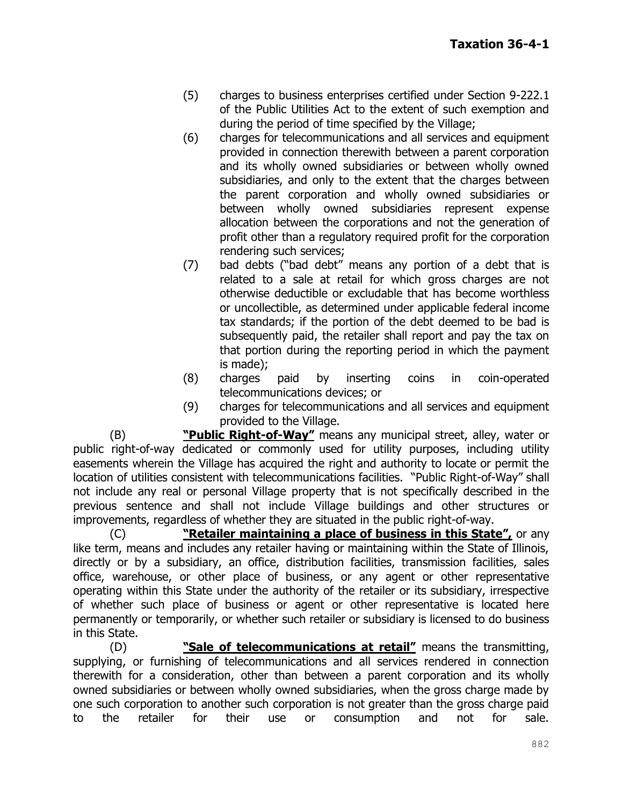- (5) charges to business enterprises certified under Section 9-222.1 of the Public Utilities Act to the extent of such exemption and during the period of time specified by the Village;
- (6) charges for telecommunications and all services and equipment provided in connection therewith between a parent corporation and its wholly owned subsidiaries or between wholly owned subsidiaries, and only to the extent that the charges between the parent corporation and wholly owned subsidiaries or between wholly owned subsidiaries represent expense allocation between the corporations and not the generation of profit other than a regulatory required profit for the corporation rendering such services;
- (7) bad debts ("bad debt" means any portion of a debt that is related to a sale at retail for which gross charges are not otherwise deductible or excludable that has become worthless or uncollectible, as determined under applicable federal income tax standards; if the portion of the debt deemed to be bad is subsequently paid, the retailer shall report and pay the tax on that portion during the reporting period in which the payment is made);
- (8) charges paid by inserting coins in coin-operated telecommunications devices; or
- (9) charges for telecommunications and all services and equipment provided to the Village.

(B) **"Public Right-of-Way"** means any municipal street, alley, water or public right-of-way dedicated or commonly used for utility purposes, including utility easements wherein the Village has acquired the right and authority to locate or permit the location of utilities consistent with telecommunications facilities. "Public Right-of-Way" shall not include any real or personal Village property that is not specifically described in the previous sentence and shall not include Village buildings and other structures or improvements, regardless of whether they are situated in the public right-of-way.

(C) **"Retailer maintaining a place of business in this State",** or any like term, means and includes any retailer having or maintaining within the State of Illinois, directly or by a subsidiary, an office, distribution facilities, transmission facilities, sales office, warehouse, or other place of business, or any agent or other representative operating within this State under the authority of the retailer or its subsidiary, irrespective of whether such place of business or agent or other representative is located here permanently or temporarily, or whether such retailer or subsidiary is licensed to do business in this State.

(D) **"Sale of telecommunications at retail"** means the transmitting, supplying, or furnishing of telecommunications and all services rendered in connection therewith for a consideration, other than between a parent corporation and its wholly owned subsidiaries or between wholly owned subsidiaries, when the gross charge made by one such corporation to another such corporation is not greater than the gross charge paid to the retailer for their use or consumption and not for sale.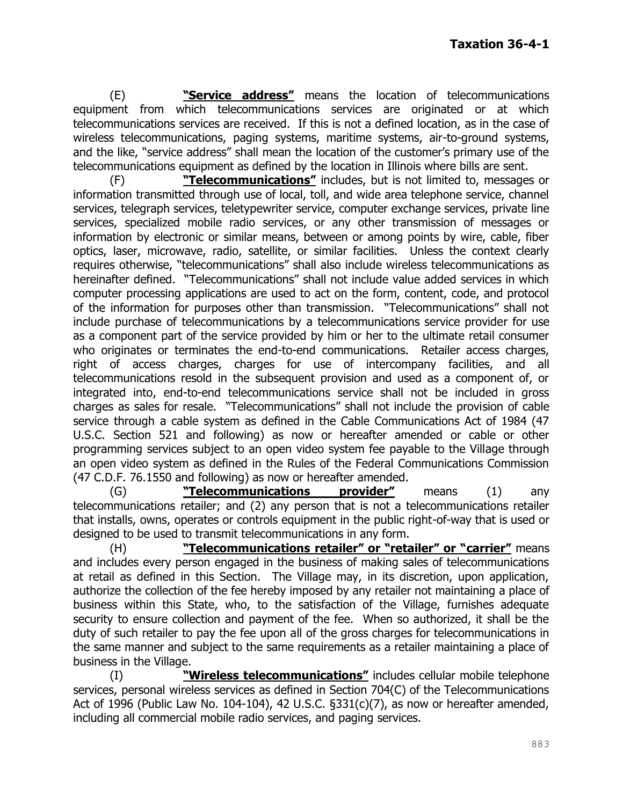(E) **"Service address"** means the location of telecommunications equipment from which telecommunications services are originated or at which telecommunications services are received. If this is not a defined location, as in the case of wireless telecommunications, paging systems, maritime systems, air-to-ground systems, and the like, "service address" shall mean the location of the customer's primary use of the telecommunications equipment as defined by the location in Illinois where bills are sent.

(F) **"Telecommunications"** includes, but is not limited to, messages or information transmitted through use of local, toll, and wide area telephone service, channel services, telegraph services, teletypewriter service, computer exchange services, private line services, specialized mobile radio services, or any other transmission of messages or information by electronic or similar means, between or among points by wire, cable, fiber optics, laser, microwave, radio, satellite, or similar facilities. Unless the context clearly requires otherwise, "telecommunications" shall also include wireless telecommunications as hereinafter defined. "Telecommunications" shall not include value added services in which computer processing applications are used to act on the form, content, code, and protocol of the information for purposes other than transmission. "Telecommunications" shall not include purchase of telecommunications by a telecommunications service provider for use as a component part of the service provided by him or her to the ultimate retail consumer who originates or terminates the end-to-end communications. Retailer access charges, right of access charges, charges for use of intercompany facilities, and all telecommunications resold in the subsequent provision and used as a component of, or integrated into, end-to-end telecommunications service shall not be included in gross charges as sales for resale. "Telecommunications" shall not include the provision of cable service through a cable system as defined in the Cable Communications Act of 1984 (47 U.S.C. Section 521 and following) as now or hereafter amended or cable or other programming services subject to an open video system fee payable to the Village through an open video system as defined in the Rules of the Federal Communications Commission (47 C.D.F. 76.1550 and following) as now or hereafter amended.

(G) **"Telecommunications provider"** means (1) any telecommunications retailer; and (2) any person that is not a telecommunications retailer that installs, owns, operates or controls equipment in the public right-of-way that is used or designed to be used to transmit telecommunications in any form.

(H) **"Telecommunications retailer" or "retailer" or "carrier"** means and includes every person engaged in the business of making sales of telecommunications at retail as defined in this Section. The Village may, in its discretion, upon application, authorize the collection of the fee hereby imposed by any retailer not maintaining a place of business within this State, who, to the satisfaction of the Village, furnishes adequate security to ensure collection and payment of the fee. When so authorized, it shall be the duty of such retailer to pay the fee upon all of the gross charges for telecommunications in the same manner and subject to the same requirements as a retailer maintaining a place of business in the Village.

(I) **"Wireless telecommunications"** includes cellular mobile telephone services, personal wireless services as defined in Section 704(C) of the Telecommunications Act of 1996 (Public Law No. 104-104), 42 U.S.C. §331(c)(7), as now or hereafter amended, including all commercial mobile radio services, and paging services.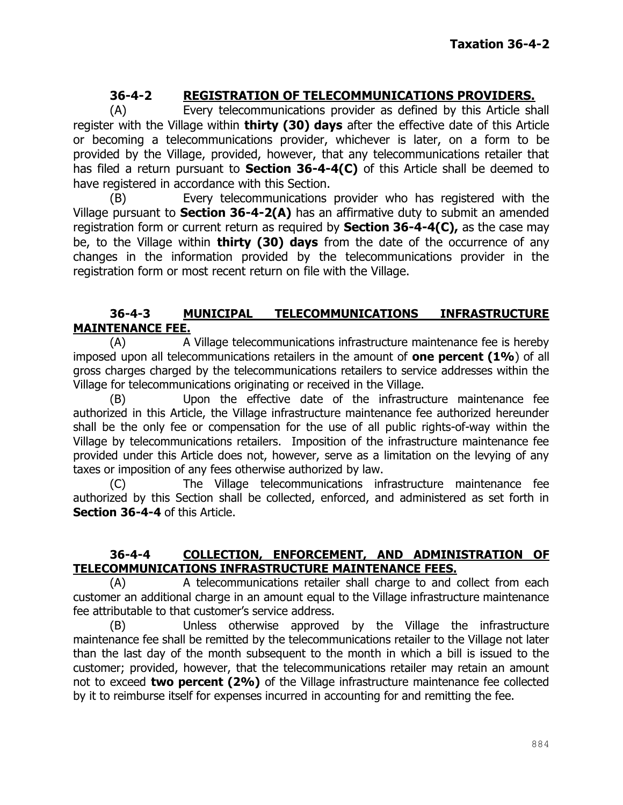# **36-4-2 REGISTRATION OF TELECOMMUNICATIONS PROVIDERS.**

(A) Every telecommunications provider as defined by this Article shall register with the Village within **thirty (30) days** after the effective date of this Article or becoming a telecommunications provider, whichever is later, on a form to be provided by the Village, provided, however, that any telecommunications retailer that has filed a return pursuant to **Section 36-4-4(C)** of this Article shall be deemed to have registered in accordance with this Section.

(B) Every telecommunications provider who has registered with the Village pursuant to **Section 36-4-2(A)** has an affirmative duty to submit an amended registration form or current return as required by **Section 36-4-4(C),** as the case may be, to the Village within **thirty (30) days** from the date of the occurrence of any changes in the information provided by the telecommunications provider in the registration form or most recent return on file with the Village.

#### **36-4-3 MUNICIPAL TELECOMMUNICATIONS INFRASTRUCTURE MAINTENANCE FEE.**

(A) A Village telecommunications infrastructure maintenance fee is hereby imposed upon all telecommunications retailers in the amount of **one percent (1%**) of all gross charges charged by the telecommunications retailers to service addresses within the Village for telecommunications originating or received in the Village.

(B) Upon the effective date of the infrastructure maintenance fee authorized in this Article, the Village infrastructure maintenance fee authorized hereunder shall be the only fee or compensation for the use of all public rights-of-way within the Village by telecommunications retailers. Imposition of the infrastructure maintenance fee provided under this Article does not, however, serve as a limitation on the levying of any taxes or imposition of any fees otherwise authorized by law.

(C) The Village telecommunications infrastructure maintenance fee authorized by this Section shall be collected, enforced, and administered as set forth in **Section 36-4-4** of this Article.

#### **36-4-4 COLLECTION, ENFORCEMENT, AND ADMINISTRATION OF TELECOMMUNICATIONS INFRASTRUCTURE MAINTENANCE FEES.**

(A) A telecommunications retailer shall charge to and collect from each customer an additional charge in an amount equal to the Village infrastructure maintenance fee attributable to that customer's service address.

(B) Unless otherwise approved by the Village the infrastructure maintenance fee shall be remitted by the telecommunications retailer to the Village not later than the last day of the month subsequent to the month in which a bill is issued to the customer; provided, however, that the telecommunications retailer may retain an amount not to exceed **two percent (2%)** of the Village infrastructure maintenance fee collected by it to reimburse itself for expenses incurred in accounting for and remitting the fee.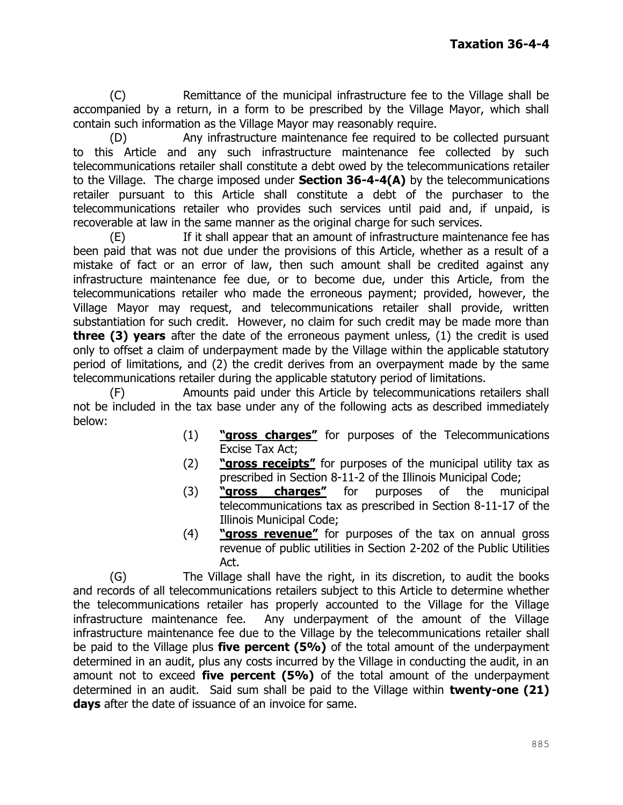(C) Remittance of the municipal infrastructure fee to the Village shall be accompanied by a return, in a form to be prescribed by the Village Mayor, which shall contain such information as the Village Mayor may reasonably require.

(D) Any infrastructure maintenance fee required to be collected pursuant to this Article and any such infrastructure maintenance fee collected by such telecommunications retailer shall constitute a debt owed by the telecommunications retailer to the Village. The charge imposed under **Section 36-4-4(A)** by the telecommunications retailer pursuant to this Article shall constitute a debt of the purchaser to the telecommunications retailer who provides such services until paid and, if unpaid, is recoverable at law in the same manner as the original charge for such services.

(E) If it shall appear that an amount of infrastructure maintenance fee has been paid that was not due under the provisions of this Article, whether as a result of a mistake of fact or an error of law, then such amount shall be credited against any infrastructure maintenance fee due, or to become due, under this Article, from the telecommunications retailer who made the erroneous payment; provided, however, the Village Mayor may request, and telecommunications retailer shall provide, written substantiation for such credit. However, no claim for such credit may be made more than **three (3) years** after the date of the erroneous payment unless, (1) the credit is used only to offset a claim of underpayment made by the Village within the applicable statutory period of limitations, and (2) the credit derives from an overpayment made by the same telecommunications retailer during the applicable statutory period of limitations.

(F) Amounts paid under this Article by telecommunications retailers shall not be included in the tax base under any of the following acts as described immediately below:

- (1) **"gross charges"** for purposes of the Telecommunications Excise Tax Act;
- (2) **"gross receipts"** for purposes of the municipal utility tax as prescribed in Section 8-11-2 of the Illinois Municipal Code;
- (3) **"gross charges"** for purposes of the municipal telecommunications tax as prescribed in Section 8-11-17 of the Illinois Municipal Code;
- (4) **"gross revenue"** for purposes of the tax on annual gross revenue of public utilities in Section 2-202 of the Public Utilities Act.

(G) The Village shall have the right, in its discretion, to audit the books and records of all telecommunications retailers subject to this Article to determine whether the telecommunications retailer has properly accounted to the Village for the Village infrastructure maintenance fee. Any underpayment of the amount of the Village infrastructure maintenance fee due to the Village by the telecommunications retailer shall be paid to the Village plus **five percent (5%)** of the total amount of the underpayment determined in an audit, plus any costs incurred by the Village in conducting the audit, in an amount not to exceed **five percent (5%)** of the total amount of the underpayment determined in an audit. Said sum shall be paid to the Village within **twenty-one (21) days** after the date of issuance of an invoice for same.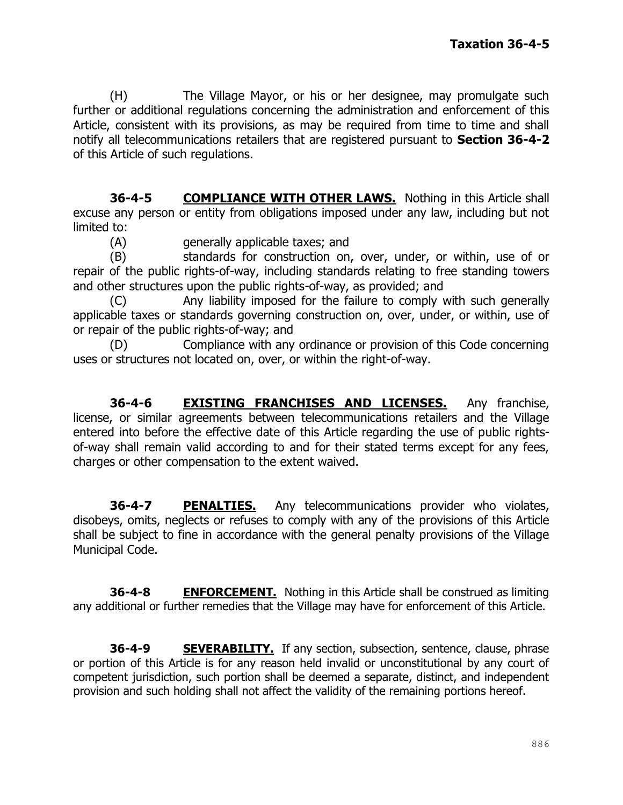(H) The Village Mayor, or his or her designee, may promulgate such further or additional regulations concerning the administration and enforcement of this Article, consistent with its provisions, as may be required from time to time and shall notify all telecommunications retailers that are registered pursuant to **Section 36-4-2** of this Article of such regulations.

**36-4-5 COMPLIANCE WITH OTHER LAWS.** Nothing in this Article shall excuse any person or entity from obligations imposed under any law, including but not limited to:

(A) generally applicable taxes; and

(B) standards for construction on, over, under, or within, use of or repair of the public rights-of-way, including standards relating to free standing towers and other structures upon the public rights-of-way, as provided; and

(C) Any liability imposed for the failure to comply with such generally applicable taxes or standards governing construction on, over, under, or within, use of or repair of the public rights-of-way; and

(D) Compliance with any ordinance or provision of this Code concerning uses or structures not located on, over, or within the right-of-way.

**36-4-6 EXISTING FRANCHISES AND LICENSES.** Any franchise, license, or similar agreements between telecommunications retailers and the Village entered into before the effective date of this Article regarding the use of public rightsof-way shall remain valid according to and for their stated terms except for any fees, charges or other compensation to the extent waived.

**36-4-7 PENALTIES.** Any telecommunications provider who violates, disobeys, omits, neglects or refuses to comply with any of the provisions of this Article shall be subject to fine in accordance with the general penalty provisions of the Village Municipal Code.

**36-4-8 ENFORCEMENT.** Nothing in this Article shall be construed as limiting any additional or further remedies that the Village may have for enforcement of this Article.

**36-4-9 SEVERABILITY.** If any section, subsection, sentence, clause, phrase or portion of this Article is for any reason held invalid or unconstitutional by any court of competent jurisdiction, such portion shall be deemed a separate, distinct, and independent provision and such holding shall not affect the validity of the remaining portions hereof.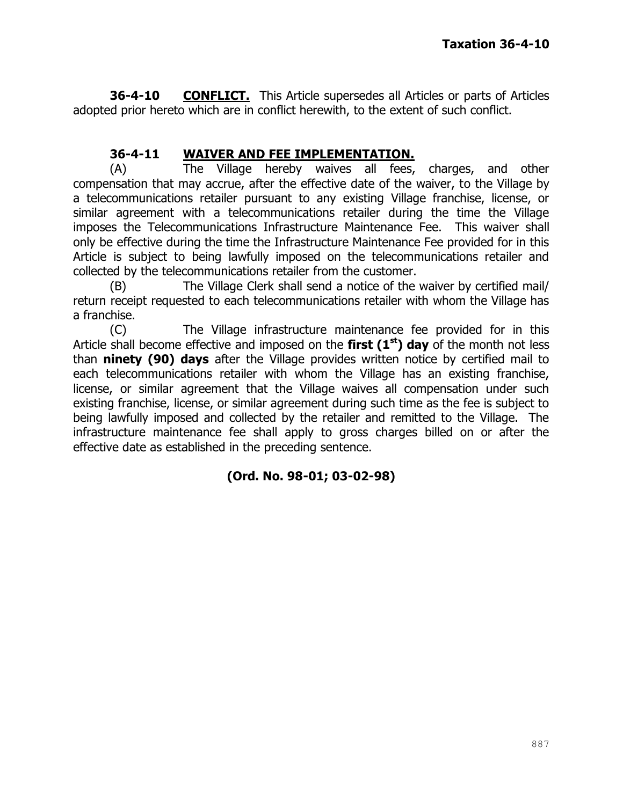**36-4-10 CONFLICT.** This Article supersedes all Articles or parts of Articles adopted prior hereto which are in conflict herewith, to the extent of such conflict.

### **36-4-11 WAIVER AND FEE IMPLEMENTATION.**

(A) The Village hereby waives all fees, charges, and other compensation that may accrue, after the effective date of the waiver, to the Village by a telecommunications retailer pursuant to any existing Village franchise, license, or similar agreement with a telecommunications retailer during the time the Village imposes the Telecommunications Infrastructure Maintenance Fee. This waiver shall only be effective during the time the Infrastructure Maintenance Fee provided for in this Article is subject to being lawfully imposed on the telecommunications retailer and collected by the telecommunications retailer from the customer.

(B) The Village Clerk shall send a notice of the waiver by certified mail/ return receipt requested to each telecommunications retailer with whom the Village has a franchise.

(C) The Village infrastructure maintenance fee provided for in this Article shall become effective and imposed on the **first (1st) day** of the month not less than **ninety (90) days** after the Village provides written notice by certified mail to each telecommunications retailer with whom the Village has an existing franchise, license, or similar agreement that the Village waives all compensation under such existing franchise, license, or similar agreement during such time as the fee is subject to being lawfully imposed and collected by the retailer and remitted to the Village. The infrastructure maintenance fee shall apply to gross charges billed on or after the effective date as established in the preceding sentence.

### **(Ord. No. 98-01; 03-02-98)**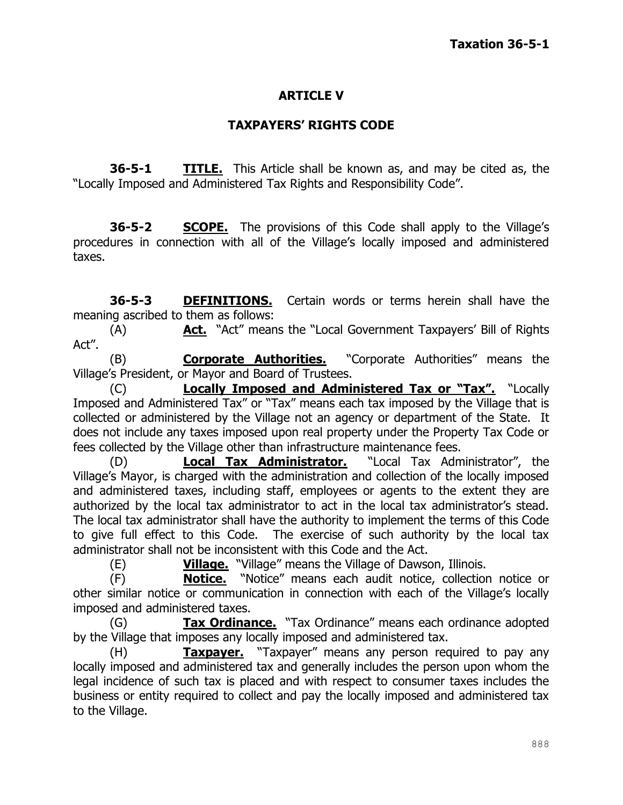### **ARTICLE V**

### **TAXPAYERS' RIGHTS CODE**

**36-5-1 TITLE.** This Article shall be known as, and may be cited as, the "Locally Imposed and Administered Tax Rights and Responsibility Code".

**36-5-2 SCOPE.** The provisions of this Code shall apply to the Village's procedures in connection with all of the Village's locally imposed and administered taxes.

**36-5-3 DEFINITIONS.** Certain words or terms herein shall have the meaning ascribed to them as follows:

(A) **Act.** "Act" means the "Local Government Taxpayers' Bill of Rights Act".

(B) **Corporate Authorities.** "Corporate Authorities" means the Village's President, or Mayor and Board of Trustees.

(C) **Locally Imposed and Administered Tax or "Tax".** "Locally Imposed and Administered Tax" or "Tax" means each tax imposed by the Village that is collected or administered by the Village not an agency or department of the State. It does not include any taxes imposed upon real property under the Property Tax Code or fees collected by the Village other than infrastructure maintenance fees.

(D) **Local Tax Administrator.** "Local Tax Administrator", the Village's Mayor, is charged with the administration and collection of the locally imposed and administered taxes, including staff, employees or agents to the extent they are authorized by the local tax administrator to act in the local tax administrator's stead. The local tax administrator shall have the authority to implement the terms of this Code to give full effect to this Code. The exercise of such authority by the local tax administrator shall not be inconsistent with this Code and the Act.

(E) **Village.** "Village" means the Village of Dawson, Illinois.

(F) **Notice.** "Notice" means each audit notice, collection notice or other similar notice or communication in connection with each of the Village's locally imposed and administered taxes.

(G) **Tax Ordinance.** "Tax Ordinance" means each ordinance adopted by the Village that imposes any locally imposed and administered tax.

(H) **Taxpayer.** "Taxpayer" means any person required to pay any locally imposed and administered tax and generally includes the person upon whom the legal incidence of such tax is placed and with respect to consumer taxes includes the business or entity required to collect and pay the locally imposed and administered tax to the Village.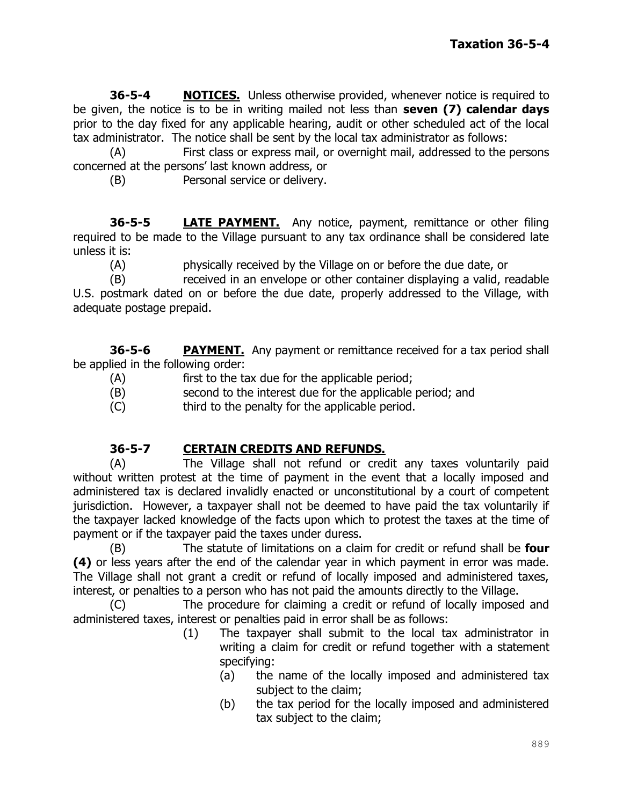**36-5-4 NOTICES.** Unless otherwise provided, whenever notice is required to be given, the notice is to be in writing mailed not less than **seven (7) calendar days** prior to the day fixed for any applicable hearing, audit or other scheduled act of the local tax administrator. The notice shall be sent by the local tax administrator as follows:

(A) First class or express mail, or overnight mail, addressed to the persons concerned at the persons' last known address, or

(B) Personal service or delivery.

**36-5-5 LATE PAYMENT.** Any notice, payment, remittance or other filing required to be made to the Village pursuant to any tax ordinance shall be considered late unless it is:

(A) physically received by the Village on or before the due date, or

(B) received in an envelope or other container displaying a valid, readable U.S. postmark dated on or before the due date, properly addressed to the Village, with adequate postage prepaid.

**36-5-6 PAYMENT.** Any payment or remittance received for a tax period shall be applied in the following order:

- (A) first to the tax due for the applicable period;
- (B) second to the interest due for the applicable period; and
- (C) third to the penalty for the applicable period.

#### **36-5-7 CERTAIN CREDITS AND REFUNDS.**

(A) The Village shall not refund or credit any taxes voluntarily paid without written protest at the time of payment in the event that a locally imposed and administered tax is declared invalidly enacted or unconstitutional by a court of competent jurisdiction. However, a taxpayer shall not be deemed to have paid the tax voluntarily if the taxpayer lacked knowledge of the facts upon which to protest the taxes at the time of payment or if the taxpayer paid the taxes under duress.

(B) The statute of limitations on a claim for credit or refund shall be **four (4)** or less years after the end of the calendar year in which payment in error was made. The Village shall not grant a credit or refund of locally imposed and administered taxes, interest, or penalties to a person who has not paid the amounts directly to the Village.

(C) The procedure for claiming a credit or refund of locally imposed and administered taxes, interest or penalties paid in error shall be as follows:

- (1) The taxpayer shall submit to the local tax administrator in writing a claim for credit or refund together with a statement specifying:
	- (a) the name of the locally imposed and administered tax subject to the claim;
	- (b) the tax period for the locally imposed and administered tax subject to the claim;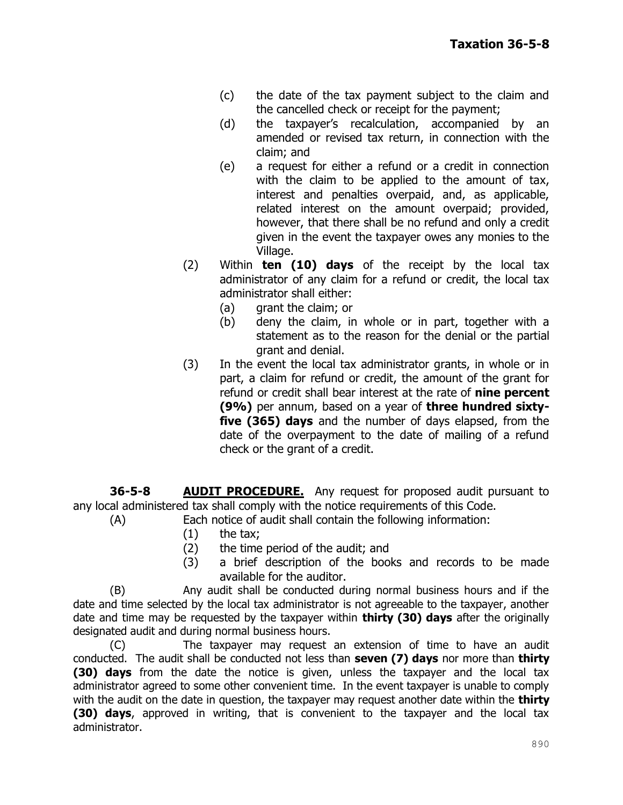- (c) the date of the tax payment subject to the claim and the cancelled check or receipt for the payment;
- (d) the taxpayer's recalculation, accompanied by an amended or revised tax return, in connection with the claim; and
- (e) a request for either a refund or a credit in connection with the claim to be applied to the amount of tax, interest and penalties overpaid, and, as applicable, related interest on the amount overpaid; provided, however, that there shall be no refund and only a credit given in the event the taxpayer owes any monies to the Village.
- (2) Within **ten (10) days** of the receipt by the local tax administrator of any claim for a refund or credit, the local tax administrator shall either:
	- (a) grant the claim; or
	- (b) deny the claim, in whole or in part, together with a statement as to the reason for the denial or the partial grant and denial.
- (3) In the event the local tax administrator grants, in whole or in part, a claim for refund or credit, the amount of the grant for refund or credit shall bear interest at the rate of **nine percent (9%)** per annum, based on a year of **three hundred sixtyfive (365) days** and the number of days elapsed, from the date of the overpayment to the date of mailing of a refund check or the grant of a credit.

**36-5-8 AUDIT PROCEDURE.** Any request for proposed audit pursuant to any local administered tax shall comply with the notice requirements of this Code.

- (A) Each notice of audit shall contain the following information:
	- $(1)$  the tax;
	- (2) the time period of the audit; and
	- (3) a brief description of the books and records to be made available for the auditor.

(B) Any audit shall be conducted during normal business hours and if the date and time selected by the local tax administrator is not agreeable to the taxpayer, another date and time may be requested by the taxpayer within **thirty (30) days** after the originally designated audit and during normal business hours.

(C) The taxpayer may request an extension of time to have an audit conducted. The audit shall be conducted not less than **seven (7) days** nor more than **thirty (30) days** from the date the notice is given, unless the taxpayer and the local tax administrator agreed to some other convenient time. In the event taxpayer is unable to comply with the audit on the date in question, the taxpayer may request another date within the **thirty (30) days**, approved in writing, that is convenient to the taxpayer and the local tax administrator.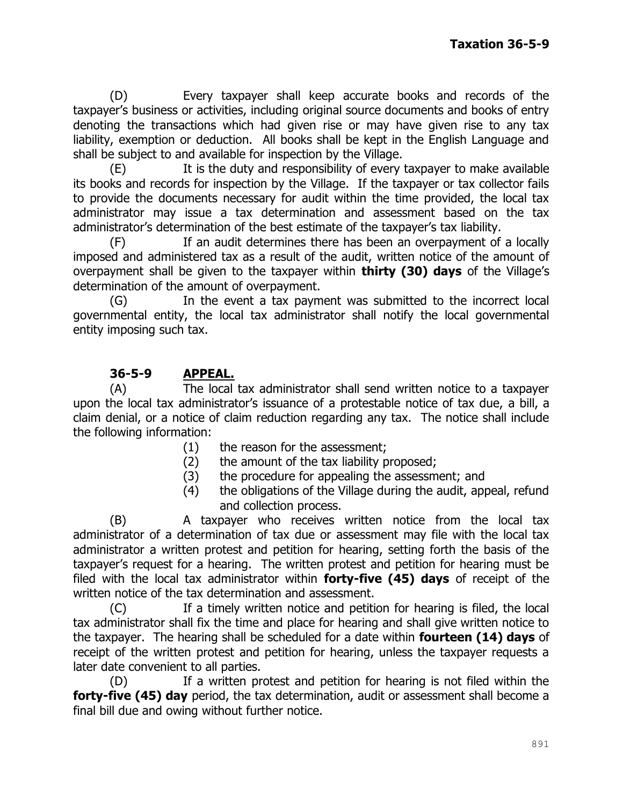(D) Every taxpayer shall keep accurate books and records of the taxpayer's business or activities, including original source documents and books of entry denoting the transactions which had given rise or may have given rise to any tax liability, exemption or deduction. All books shall be kept in the English Language and shall be subject to and available for inspection by the Village.

(E) It is the duty and responsibility of every taxpayer to make available its books and records for inspection by the Village. If the taxpayer or tax collector fails to provide the documents necessary for audit within the time provided, the local tax administrator may issue a tax determination and assessment based on the tax administrator's determination of the best estimate of the taxpayer's tax liability.

(F) If an audit determines there has been an overpayment of a locally imposed and administered tax as a result of the audit, written notice of the amount of overpayment shall be given to the taxpayer within **thirty (30) days** of the Village's determination of the amount of overpayment.

(G) In the event a tax payment was submitted to the incorrect local governmental entity, the local tax administrator shall notify the local governmental entity imposing such tax.

# **36-5-9 APPEAL.**

(A) The local tax administrator shall send written notice to a taxpayer upon the local tax administrator's issuance of a protestable notice of tax due, a bill, a claim denial, or a notice of claim reduction regarding any tax. The notice shall include the following information:

- (1) the reason for the assessment;
- (2) the amount of the tax liability proposed;
- (3) the procedure for appealing the assessment; and
- (4) the obligations of the Village during the audit, appeal, refund and collection process.

(B) A taxpayer who receives written notice from the local tax administrator of a determination of tax due or assessment may file with the local tax administrator a written protest and petition for hearing, setting forth the basis of the taxpayer's request for a hearing. The written protest and petition for hearing must be filed with the local tax administrator within **forty-five (45) days** of receipt of the written notice of the tax determination and assessment.

(C) If a timely written notice and petition for hearing is filed, the local tax administrator shall fix the time and place for hearing and shall give written notice to the taxpayer. The hearing shall be scheduled for a date within **fourteen (14) days** of receipt of the written protest and petition for hearing, unless the taxpayer requests a later date convenient to all parties.

(D) If a written protest and petition for hearing is not filed within the **forty-five (45) day** period, the tax determination, audit or assessment shall become a final bill due and owing without further notice.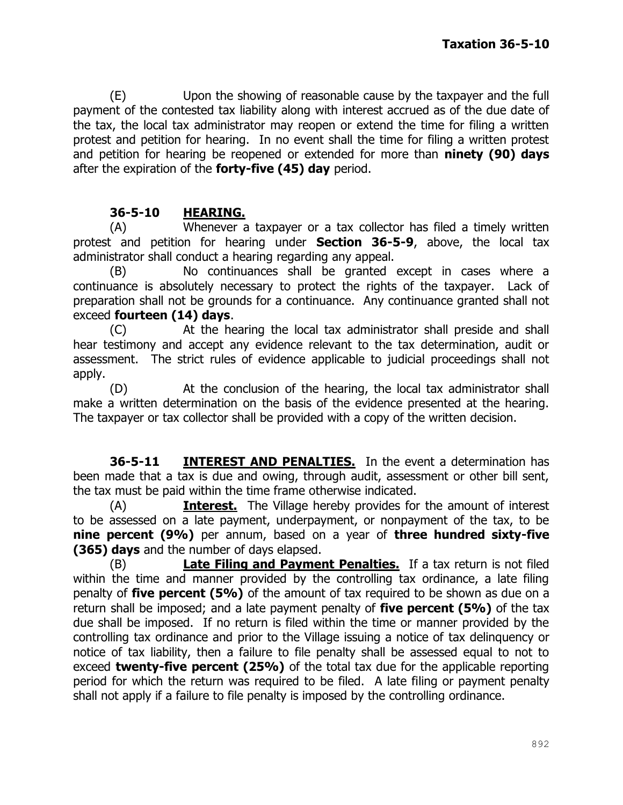(E) Upon the showing of reasonable cause by the taxpayer and the full payment of the contested tax liability along with interest accrued as of the due date of the tax, the local tax administrator may reopen or extend the time for filing a written protest and petition for hearing. In no event shall the time for filing a written protest and petition for hearing be reopened or extended for more than **ninety (90) days** after the expiration of the **forty-five (45) day** period.

# **36-5-10 HEARING.**

(A) Whenever a taxpayer or a tax collector has filed a timely written protest and petition for hearing under **Section 36-5-9**, above, the local tax administrator shall conduct a hearing regarding any appeal.

(B) No continuances shall be granted except in cases where a continuance is absolutely necessary to protect the rights of the taxpayer. Lack of preparation shall not be grounds for a continuance. Any continuance granted shall not exceed **fourteen (14) days**.

(C) At the hearing the local tax administrator shall preside and shall hear testimony and accept any evidence relevant to the tax determination, audit or assessment. The strict rules of evidence applicable to judicial proceedings shall not apply.

(D) At the conclusion of the hearing, the local tax administrator shall make a written determination on the basis of the evidence presented at the hearing. The taxpayer or tax collector shall be provided with a copy of the written decision.

**36-5-11 INTEREST AND PENALTIES.** In the event a determination has been made that a tax is due and owing, through audit, assessment or other bill sent, the tax must be paid within the time frame otherwise indicated.

(A) **Interest.** The Village hereby provides for the amount of interest to be assessed on a late payment, underpayment, or nonpayment of the tax, to be **nine percent (9%)** per annum, based on a year of **three hundred sixty-five (365) days** and the number of days elapsed.

(B) **Late Filing and Payment Penalties.** If a tax return is not filed within the time and manner provided by the controlling tax ordinance, a late filing penalty of **five percent (5%)** of the amount of tax required to be shown as due on a return shall be imposed; and a late payment penalty of **five percent (5%)** of the tax due shall be imposed. If no return is filed within the time or manner provided by the controlling tax ordinance and prior to the Village issuing a notice of tax delinquency or notice of tax liability, then a failure to file penalty shall be assessed equal to not to exceed **twenty-five percent (25%)** of the total tax due for the applicable reporting period for which the return was required to be filed. A late filing or payment penalty shall not apply if a failure to file penalty is imposed by the controlling ordinance.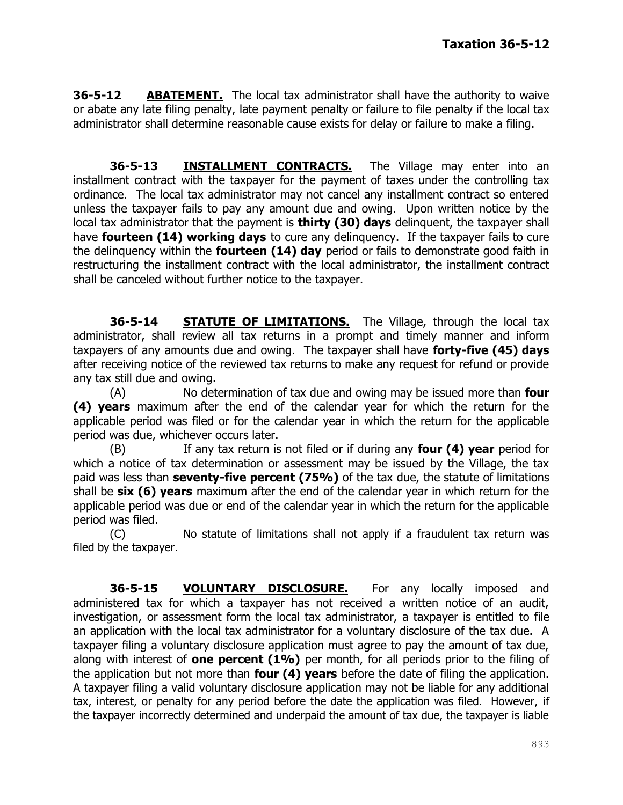**36-5-12 ABATEMENT.** The local tax administrator shall have the authority to waive or abate any late filing penalty, late payment penalty or failure to file penalty if the local tax administrator shall determine reasonable cause exists for delay or failure to make a filing.

**36-5-13 INSTALLMENT CONTRACTS.** The Village may enter into an installment contract with the taxpayer for the payment of taxes under the controlling tax ordinance. The local tax administrator may not cancel any installment contract so entered unless the taxpayer fails to pay any amount due and owing. Upon written notice by the local tax administrator that the payment is **thirty (30) days** delinquent, the taxpayer shall have **fourteen (14) working days** to cure any delinquency. If the taxpayer fails to cure the delinquency within the **fourteen (14) day** period or fails to demonstrate good faith in restructuring the installment contract with the local administrator, the installment contract shall be canceled without further notice to the taxpayer.

**36-5-14 STATUTE OF LIMITATIONS.** The Village, through the local tax administrator, shall review all tax returns in a prompt and timely manner and inform taxpayers of any amounts due and owing. The taxpayer shall have **forty-five (45) days** after receiving notice of the reviewed tax returns to make any request for refund or provide any tax still due and owing.

(A) No determination of tax due and owing may be issued more than **four (4) years** maximum after the end of the calendar year for which the return for the applicable period was filed or for the calendar year in which the return for the applicable period was due, whichever occurs later.

(B) If any tax return is not filed or if during any **four (4) year** period for which a notice of tax determination or assessment may be issued by the Village, the tax paid was less than **seventy-five percent (75%)** of the tax due, the statute of limitations shall be **six (6) years** maximum after the end of the calendar year in which return for the applicable period was due or end of the calendar year in which the return for the applicable period was filed.

(C) No statute of limitations shall not apply if a fraudulent tax return was filed by the taxpayer.

**36-5-15 VOLUNTARY DISCLOSURE.** For any locally imposed and administered tax for which a taxpayer has not received a written notice of an audit, investigation, or assessment form the local tax administrator, a taxpayer is entitled to file an application with the local tax administrator for a voluntary disclosure of the tax due. A taxpayer filing a voluntary disclosure application must agree to pay the amount of tax due, along with interest of **one percent (1%)** per month, for all periods prior to the filing of the application but not more than **four (4) years** before the date of filing the application. A taxpayer filing a valid voluntary disclosure application may not be liable for any additional tax, interest, or penalty for any period before the date the application was filed. However, if the taxpayer incorrectly determined and underpaid the amount of tax due, the taxpayer is liable